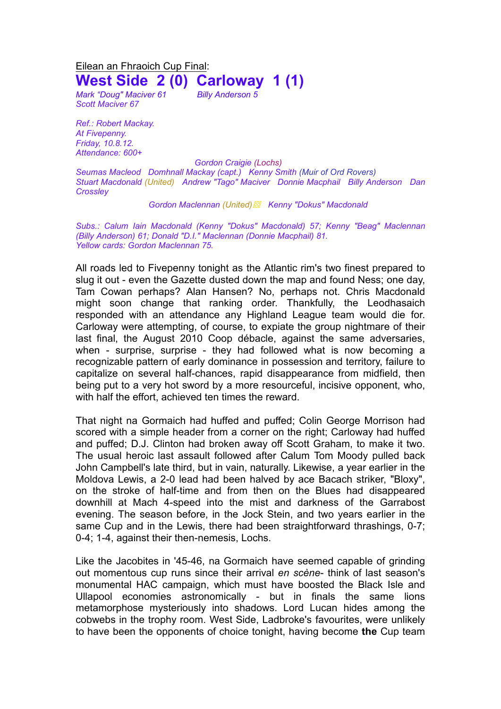## Eilean an Fhraoich Cup Final: **West Side 2 (0) Carloway 1 (1)**

*Mark "Doug" Maciver 61 Billy Anderson 5 Scott Maciver 67*

*Ref.: Robert Mackay. At Fivepenny. Friday, 10.8.12. Attendance: 600+* 

*Gordon Craigie (Lochs) Seumas Macleod Domhnall Mackay (capt.) Kenny Smith (Muir of Ord Rovers) Stuart Macdonald (United) Andrew "Tago" Maciver Donnie Macphail Billy Anderson Dan Crossley*

## *Gordon Maclennan (United)▩ Kenny "Dokus" Macdonald*

*Subs.: Calum Iain Macdonald (Kenny "Dokus" Macdonald) 57; Kenny "Beag" Maclennan (Billy Anderson) 61; Donald "D.I." Maclennan (Donnie Macphail) 81. Yellow cards: Gordon Maclennan 75.*

All roads led to Fivepenny tonight as the Atlantic rim's two finest prepared to slug it out - even the Gazette dusted down the map and found Ness; one day, Tam Cowan perhaps? Alan Hansen? No, perhaps not. Chris Macdonald might soon change that ranking order. Thankfully, the Leodhasaich responded with an attendance any Highland League team would die for. Carloway were attempting, of course, to expiate the group nightmare of their last final, the August 2010 Coop débacle, against the same adversaries, when - surprise, surprise - they had followed what is now becoming a recognizable pattern of early dominance in possession and territory, failure to capitalize on several half-chances, rapid disappearance from midfield, then being put to a very hot sword by a more resourceful, incisive opponent, who, with half the effort, achieved ten times the reward.

That night na Gormaich had huffed and puffed; Colin George Morrison had scored with a simple header from a corner on the right; Carloway had huffed and puffed; D.J. Clinton had broken away off Scott Graham, to make it two. The usual heroic last assault followed after Calum Tom Moody pulled back John Campbell's late third, but in vain, naturally. Likewise, a year earlier in the Moldova Lewis, a 2-0 lead had been halved by ace Bacach striker, "Bloxy", on the stroke of half-time and from then on the Blues had disappeared downhill at Mach 4-speed into the mist and darkness of the Garrabost evening. The season before, in the Jock Stein, and two years earlier in the same Cup and in the Lewis, there had been straightforward thrashings, 0-7; 0-4; 1-4, against their then-nemesis, Lochs.

Like the Jacobites in '45-46, na Gormaich have seemed capable of grinding out momentous cup runs since their arrival *en scène*- think of last season's monumental HAC campaign, which must have boosted the Black Isle and Ullapool economies astronomically - but in finals the same lions metamorphose mysteriously into shadows. Lord Lucan hides among the cobwebs in the trophy room. West Side, Ladbroke's favourites, were unlikely to have been the opponents of choice tonight, having become **the** Cup team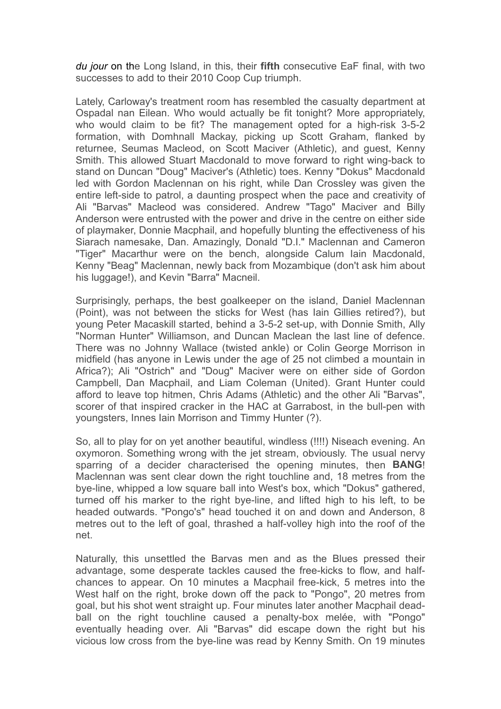*du jour* on the Long Island, in this, their **fifth** consecutive EaF final, with two successes to add to their 2010 Coop Cup triumph.

Lately, Carloway's treatment room has resembled the casualty department at Ospadal nan Eilean. Who would actually be fit tonight? More appropriately, who would claim to be fit? The management opted for a high-risk 3-5-2 formation, with Domhnall Mackay, picking up Scott Graham, flanked by returnee, Seumas Macleod, on Scott Maciver (Athletic), and guest, Kenny Smith. This allowed Stuart Macdonald to move forward to right wing-back to stand on Duncan "Doug" Maciver's (Athletic) toes. Kenny "Dokus" Macdonald led with Gordon Maclennan on his right, while Dan Crossley was given the entire left-side to patrol, a daunting prospect when the pace and creativity of Ali "Barvas" Macleod was considered. Andrew "Tago" Maciver and Billy Anderson were entrusted with the power and drive in the centre on either side of playmaker, Donnie Macphail, and hopefully blunting the effectiveness of his Siarach namesake, Dan. Amazingly, Donald "D.I." Maclennan and Cameron "Tiger" Macarthur were on the bench, alongside Calum Iain Macdonald, Kenny "Beag" Maclennan, newly back from Mozambique (don't ask him about his luggage!), and Kevin "Barra" Macneil.

Surprisingly, perhaps, the best goalkeeper on the island, Daniel Maclennan (Point), was not between the sticks for West (has Iain Gillies retired?), but young Peter Macaskill started, behind a 3-5-2 set-up, with Donnie Smith, Ally "Norman Hunter" Williamson, and Duncan Maclean the last line of defence. There was no Johnny Wallace (twisted ankle) or Colin George Morrison in midfield (has anyone in Lewis under the age of 25 not climbed a mountain in Africa?); Ali "Ostrich" and "Doug" Maciver were on either side of Gordon Campbell, Dan Macphail, and Liam Coleman (United). Grant Hunter could afford to leave top hitmen, Chris Adams (Athletic) and the other Ali "Barvas", scorer of that inspired cracker in the HAC at Garrabost, in the bull-pen with youngsters, Innes Iain Morrison and Timmy Hunter (?).

So, all to play for on yet another beautiful, windless (!!!!) Niseach evening. An oxymoron. Something wrong with the jet stream, obviously. The usual nervy sparring of a decider characterised the opening minutes, then **BANG**! Maclennan was sent clear down the right touchline and, 18 metres from the bye-line, whipped a low square ball into West's box, which "Dokus" gathered, turned off his marker to the right bye-line, and lifted high to his left, to be headed outwards. "Pongo's" head touched it on and down and Anderson, 8 metres out to the left of goal, thrashed a half-volley high into the roof of the net.

Naturally, this unsettled the Barvas men and as the Blues pressed their advantage, some desperate tackles caused the free-kicks to flow, and halfchances to appear. On 10 minutes a Macphail free-kick, 5 metres into the West half on the right, broke down off the pack to "Pongo", 20 metres from goal, but his shot went straight up. Four minutes later another Macphail deadball on the right touchline caused a penalty-box melée, with "Pongo" eventually heading over. Ali "Barvas" did escape down the right but his vicious low cross from the bye-line was read by Kenny Smith. On 19 minutes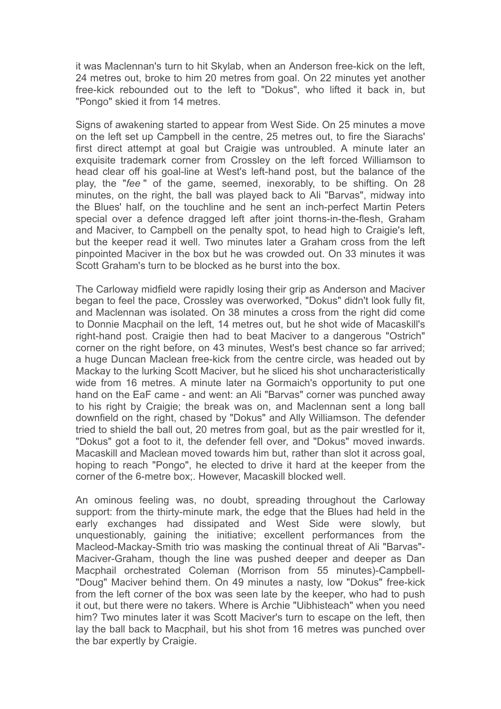it was Maclennan's turn to hit Skylab, when an Anderson free-kick on the left, 24 metres out, broke to him 20 metres from goal. On 22 minutes yet another free-kick rebounded out to the left to "Dokus", who lifted it back in, but "Pongo" skied it from 14 metres.

Signs of awakening started to appear from West Side. On 25 minutes a move on the left set up Campbell in the centre, 25 metres out, to fire the Siarachs' first direct attempt at goal but Craigie was untroubled. A minute later an exquisite trademark corner from Crossley on the left forced Williamson to head clear off his goal-line at West's left-hand post, but the balance of the play, the "*fee* " of the game, seemed, inexorably, to be shifting. On 28 minutes, on the right, the ball was played back to Ali "Barvas", midway into the Blues' half, on the touchline and he sent an inch-perfect Martin Peters special over a defence dragged left after joint thorns-in-the-flesh, Graham and Maciver, to Campbell on the penalty spot, to head high to Craigie's left, but the keeper read it well. Two minutes later a Graham cross from the left pinpointed Maciver in the box but he was crowded out. On 33 minutes it was Scott Graham's turn to be blocked as he burst into the box.

The Carloway midfield were rapidly losing their grip as Anderson and Maciver began to feel the pace, Crossley was overworked, "Dokus" didn't look fully fit, and Maclennan was isolated. On 38 minutes a cross from the right did come to Donnie Macphail on the left, 14 metres out, but he shot wide of Macaskill's right-hand post. Craigie then had to beat Maciver to a dangerous "Ostrich" corner on the right before, on 43 minutes, West's best chance so far arrived; a huge Duncan Maclean free-kick from the centre circle, was headed out by Mackay to the lurking Scott Maciver, but he sliced his shot uncharacteristically wide from 16 metres. A minute later na Gormaich's opportunity to put one hand on the EaF came - and went: an Ali "Barvas" corner was punched away to his right by Craigie; the break was on, and Maclennan sent a long ball downfield on the right, chased by "Dokus" and Ally Williamson. The defender tried to shield the ball out, 20 metres from goal, but as the pair wrestled for it, "Dokus" got a foot to it, the defender fell over, and "Dokus" moved inwards. Macaskill and Maclean moved towards him but, rather than slot it across goal, hoping to reach "Pongo", he elected to drive it hard at the keeper from the corner of the 6-metre box;. However, Macaskill blocked well.

An ominous feeling was, no doubt, spreading throughout the Carloway support: from the thirty-minute mark, the edge that the Blues had held in the early exchanges had dissipated and West Side were slowly, but unquestionably, gaining the initiative; excellent performances from the Macleod-Mackay-Smith trio was masking the continual threat of Ali "Barvas"- Maciver-Graham, though the line was pushed deeper and deeper as Dan Macphail orchestrated Coleman (Morrison from 55 minutes)-Campbell- "Doug" Maciver behind them. On 49 minutes a nasty, low "Dokus" free-kick from the left corner of the box was seen late by the keeper, who had to push it out, but there were no takers. Where is Archie "Uibhisteach" when you need him? Two minutes later it was Scott Maciver's turn to escape on the left, then lay the ball back to Macphail, but his shot from 16 metres was punched over the bar expertly by Craigie.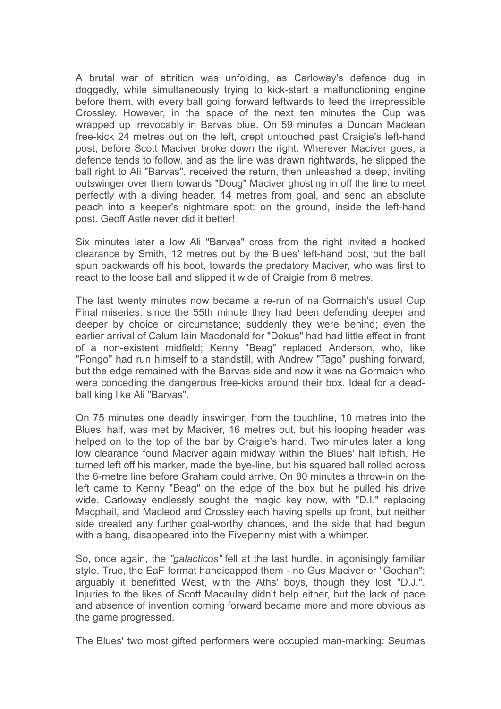A brutal war of attrition was unfolding, as Carloway's defence dug in doggedly, while simultaneously trying to kick-start a malfunctioning engine before them, with every ball going forward leftwards to feed the irrepressible Crossley. However, in the space of the next ten minutes the Cup was wrapped up irrevocably in Barvas blue. On 59 minutes a Duncan Maclean free-kick 24 metres out on the left, crept untouched past Craigie's left-hand post, before Scott Maciver broke down the right. Wherever Maciver goes, a defence tends to follow, and as the line was drawn rightwards, he slipped the ball right to Ali "Barvas", received the return, then unleashed a deep, inviting outswinger over them towards "Doug" Maciver ghosting in off the line to meet perfectly with a diving header, 14 metres from goal, and send an absolute peach into a keeper's nightmare spot: on the ground, inside the left-hand post. Geoff Astle never did it better!

Six minutes later a low Ali "Barvas" cross from the right invited a hooked clearance by Smith, 12 metres out by the Blues' left-hand post, but the ball spun backwards off his boot, towards the predatory Maciver, who was first to react to the loose ball and slipped it wide of Craigie from 8 metres.

The last twenty minutes now became a re-run of na Gormaich's usual Cup Final miseries: since the 55th minute they had been defending deeper and deeper by choice or circumstance; suddenly they were behind; even the earlier arrival of Calum Iain Macdonald for "Dokus" had had little effect in front of a non-existent midfield; Kenny "Beag" replaced Anderson, who, like "Pongo" had run himself to a standstill, with Andrew "Tago" pushing forward, but the edge remained with the Barvas side and now it was na Gormaich who were conceding the dangerous free-kicks around their box. Ideal for a deadball king like Ali "Barvas".

On 75 minutes one deadly inswinger, from the touchline, 10 metres into the Blues' half, was met by Maciver, 16 metres out, but his looping header was helped on to the top of the bar by Craigie's hand. Two minutes later a long low clearance found Maciver again midway within the Blues' half leftish. He turned left off his marker, made the bye-line, but his squared ball rolled across the 6-metre line before Graham could arrive. On 80 minutes a throw-in on the left came to Kenny "Beag" on the edge of the box but he pulled his drive wide. Carloway endlessly sought the magic key now, with "D.I." replacing Macphail, and Macleod and Crossley each having spells up front, but neither side created any further goal-worthy chances, and the side that had begun with a bang, disappeared into the Fivepenny mist with a whimper.

So, once again, the *"galacticos"* fell at the last hurdle, in agonisingly familiar style. True, the EaF format handicapped them - no Gus Maciver or "Gochan"; arguably it benefitted West, with the Aths' boys, though they lost "D.J.". Injuries to the likes of Scott Macaulay didn't help either, but the lack of pace and absence of invention coming forward became more and more obvious as the game progressed.

The Blues' two most gifted performers were occupied man-marking: Seumas